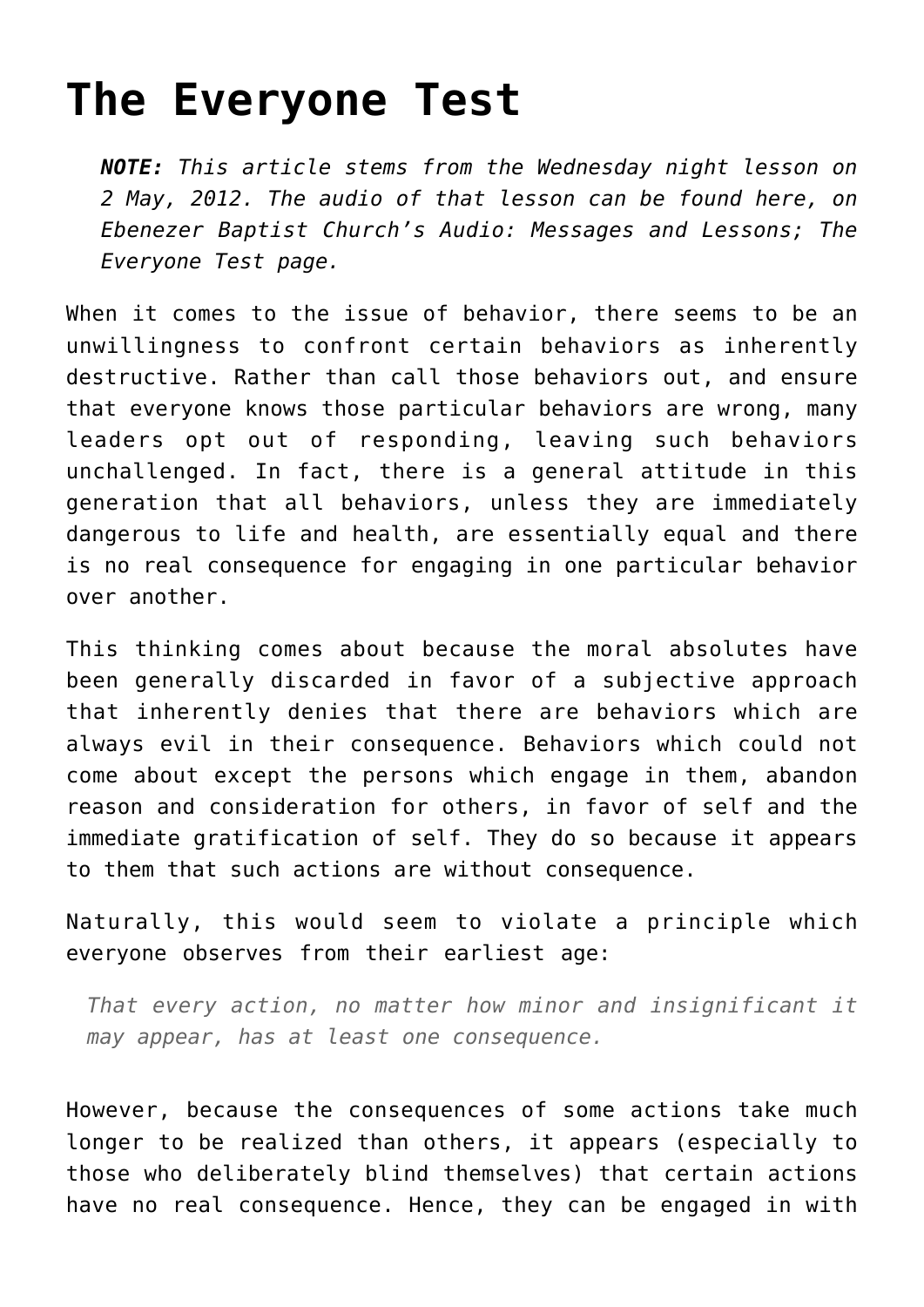# **[The Everyone Test](http://reproachofmen.org/apologetics/the-everyone-test/)**

*NOTE: This article stems from the Wednesday night lesson on 2 May, 2012. The audio of that lesson can be found here, on [Ebenezer Baptist Church's Audio: Messages and Lessons; The](http://ebenezerbaptistkjv.org/audio-messages-and-lessons/?sermon_id=18) [Everyone Test p](http://ebenezerbaptistkjv.org/audio-messages-and-lessons/?sermon_id=18)age.*

When it comes to the issue of behavior, there seems to be an unwillingness to confront certain behaviors as inherently destructive. Rather than call those behaviors out, and ensure that everyone knows those particular behaviors are wrong, many leaders opt out of responding, leaving such behaviors unchallenged. In fact, there is a general attitude in this generation that all behaviors, unless they are immediately dangerous to life and health, are essentially equal and there is no real consequence for engaging in one particular behavior over another.

This thinking comes about because the moral absolutes have been generally discarded in favor of a subjective approach that inherently denies that there are behaviors which are always evil in their consequence. Behaviors which could not come about except the persons which engage in them, abandon reason and consideration for others, in favor of self and the immediate gratification of self. They do so because it appears to them that such actions are without consequence.

Naturally, this would seem to violate a principle which everyone observes from their earliest age:

*That every action, no matter how minor and insignificant it may appear, has at least one consequence.*

However, because the consequences of some actions take much longer to be realized than others, it appears (especially to those who deliberately blind themselves) that certain actions have no real consequence. Hence, they can be engaged in with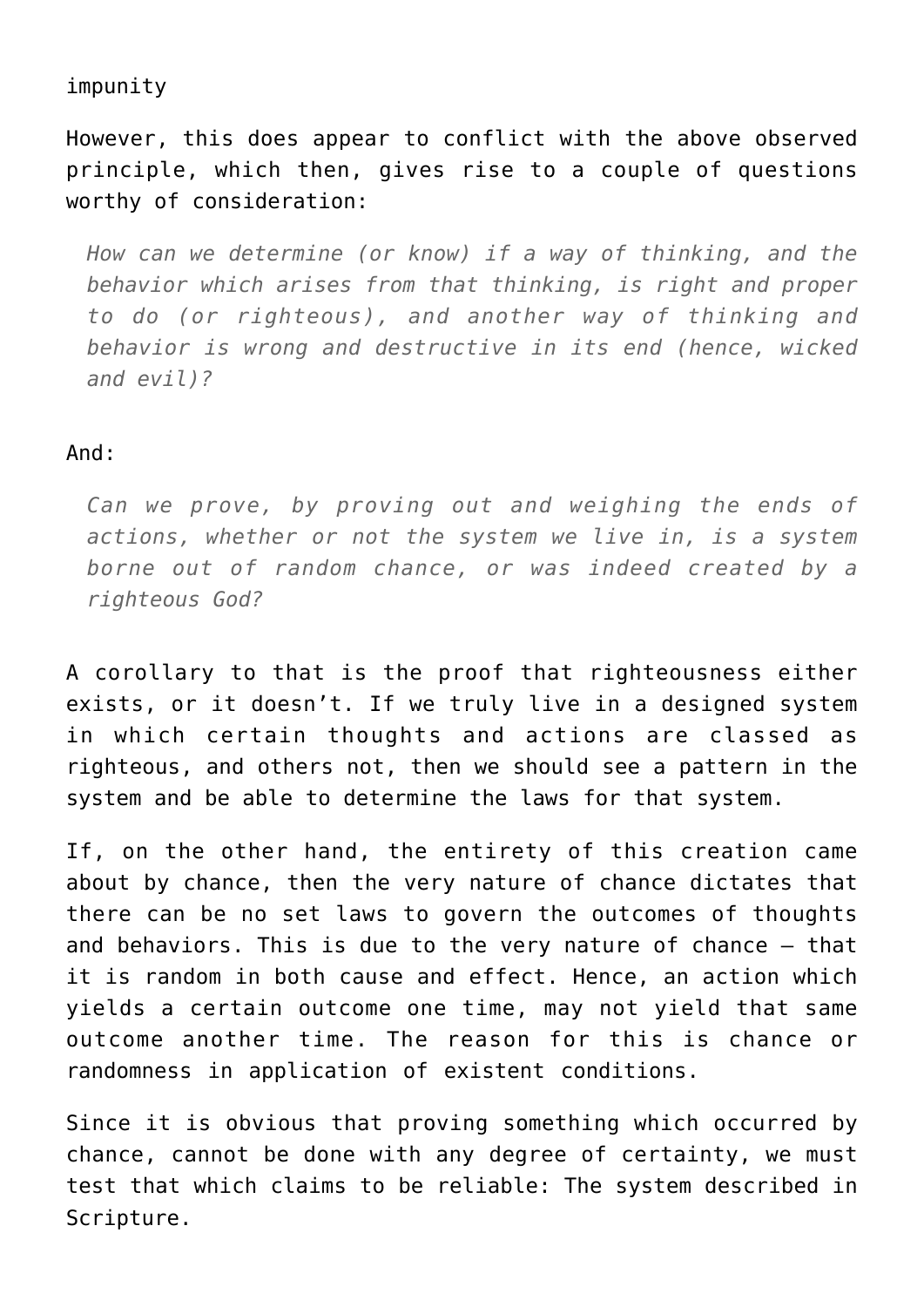## impunity

However, this does appear to conflict with the above observed principle, which then, gives rise to a couple of questions worthy of consideration:

*How can we determine (or know) if a way of thinking, and the behavior which arises from that thinking, is right and proper to do (or righteous), and another way of thinking and behavior is wrong and destructive in its end (hence, wicked and evil)?*

#### And:

*Can we prove, by proving out and weighing the ends of actions, whether or not the system we live in, is a system borne out of random chance, or was indeed created by a righteous God?*

A corollary to that is the proof that righteousness either exists, or it doesn't. If we truly live in a designed system in which certain thoughts and actions are classed as righteous, and others not, then we should see a pattern in the system and be able to determine the laws for that system.

If, on the other hand, the entirety of this creation came about by chance, then the very nature of chance dictates that there can be no set laws to govern the outcomes of thoughts and behaviors. This is due to the very nature of chance – that it is random in both cause and effect. Hence, an action which yields a certain outcome one time, may not yield that same outcome another time. The reason for this is chance or randomness in application of existent conditions.

Since it is obvious that proving something which occurred by chance, cannot be done with any degree of certainty, we must test that which claims to be reliable: The system described in Scripture.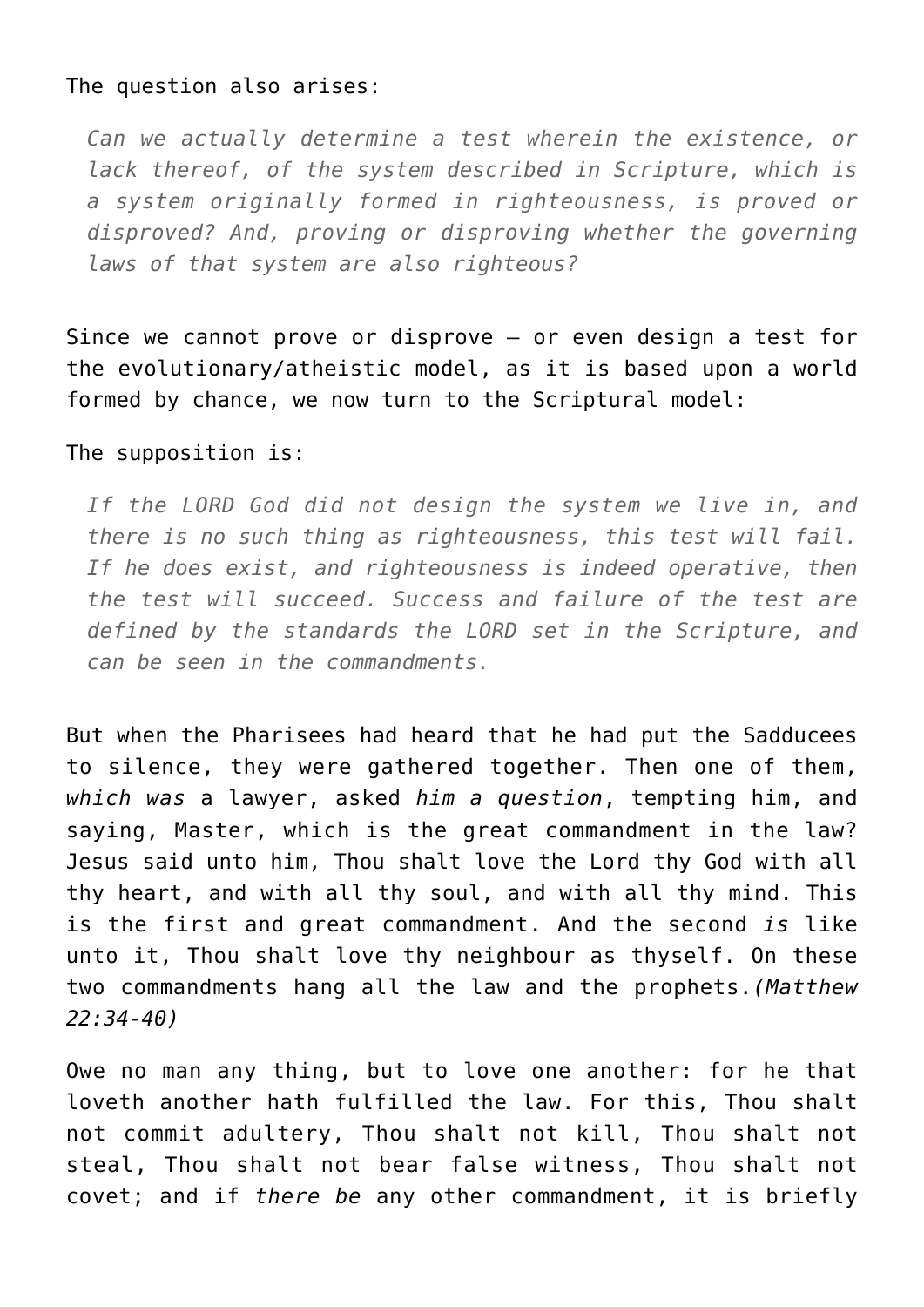#### The question also arises:

*Can we actually determine a test wherein the existence, or lack thereof, of the system described in Scripture, which is a system originally formed in righteousness, is proved or disproved? And, proving or disproving whether the governing laws of that system are also righteous?*

Since we cannot prove or disprove – or even design a test for the evolutionary/atheistic model, as it is based upon a world formed by chance, we now turn to the Scriptural model:

#### The supposition is:

*If the LORD God did not design the system we live in, and there is no such thing as righteousness, this test will fail. If he does exist, and righteousness is indeed operative, then the test will succeed. Success and failure of the test are defined by the standards the LORD set in the Scripture, and can be seen in the commandments.*

But when the Pharisees had heard that he had put the Sadducees to silence, they were gathered together. Then one of them, *which was* a lawyer, asked *him a question*, tempting him, and saying, Master, which is the great commandment in the law? Jesus said unto him, Thou shalt love the Lord thy God with all thy heart, and with all thy soul, and with all thy mind. This is the first and great commandment. And the second *is* like unto it, Thou shalt love thy neighbour as thyself. On these two commandments hang all the law and the prophets.*(Matthew 22:34-40)*

Owe no man any thing, but to love one another: for he that loveth another hath fulfilled the law. For this, Thou shalt not commit adultery, Thou shalt not kill, Thou shalt not steal, Thou shalt not bear false witness, Thou shalt not covet; and if *there be* any other commandment, it is briefly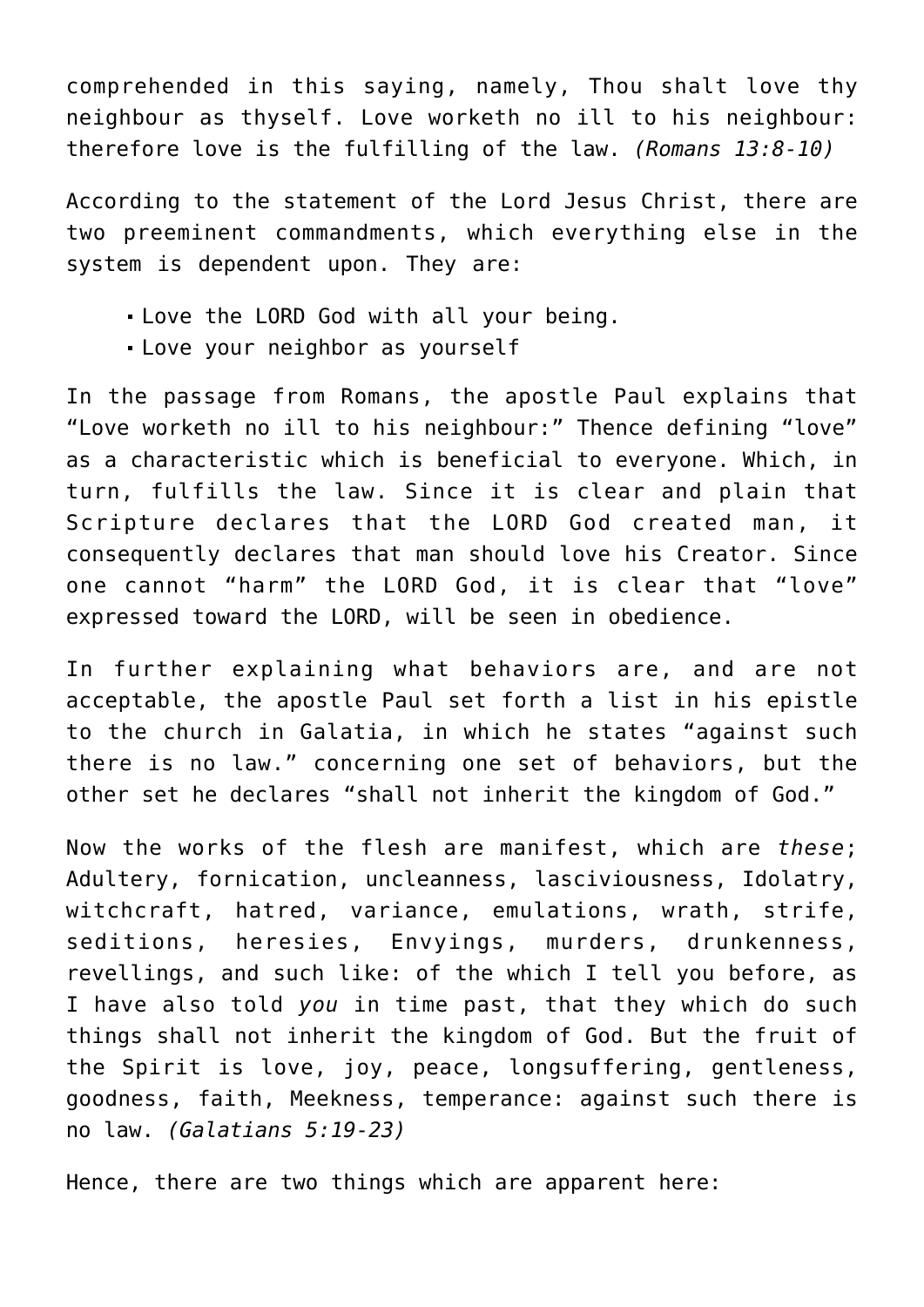comprehended in this saying, namely, Thou shalt love thy neighbour as thyself. Love worketh no ill to his neighbour: therefore love is the fulfilling of the law. *(Romans 13:8-10)*

According to the statement of the Lord Jesus Christ, there are two preeminent commandments, which everything else in the system is dependent upon. They are:

- Love the LORD God with all your being.
- Love your neighbor as yourself

In the passage from Romans, the apostle Paul explains that "Love worketh no ill to his neighbour:" Thence defining "love" as a characteristic which is beneficial to everyone. Which, in turn, fulfills the law. Since it is clear and plain that Scripture declares that the LORD God created man, it consequently declares that man should love his Creator. Since one cannot "harm" the LORD God, it is clear that "love" expressed toward the LORD, will be seen in obedience.

In further explaining what behaviors are, and are not acceptable, the apostle Paul set forth a list in his epistle to the church in Galatia, in which he states "against such there is no law." concerning one set of behaviors, but the other set he declares "shall not inherit the kingdom of God."

Now the works of the flesh are manifest, which are *these*; Adultery, fornication, uncleanness, lasciviousness, Idolatry, witchcraft, hatred, variance, emulations, wrath, strife, seditions, heresies, Envyings, murders, drunkenness, revellings, and such like: of the which I tell you before, as I have also told *you* in time past, that they which do such things shall not inherit the kingdom of God. But the fruit of the Spirit is love, joy, peace, longsuffering, gentleness, goodness, faith, Meekness, temperance: against such there is no law. *(Galatians 5:19-23)*

Hence, there are two things which are apparent here: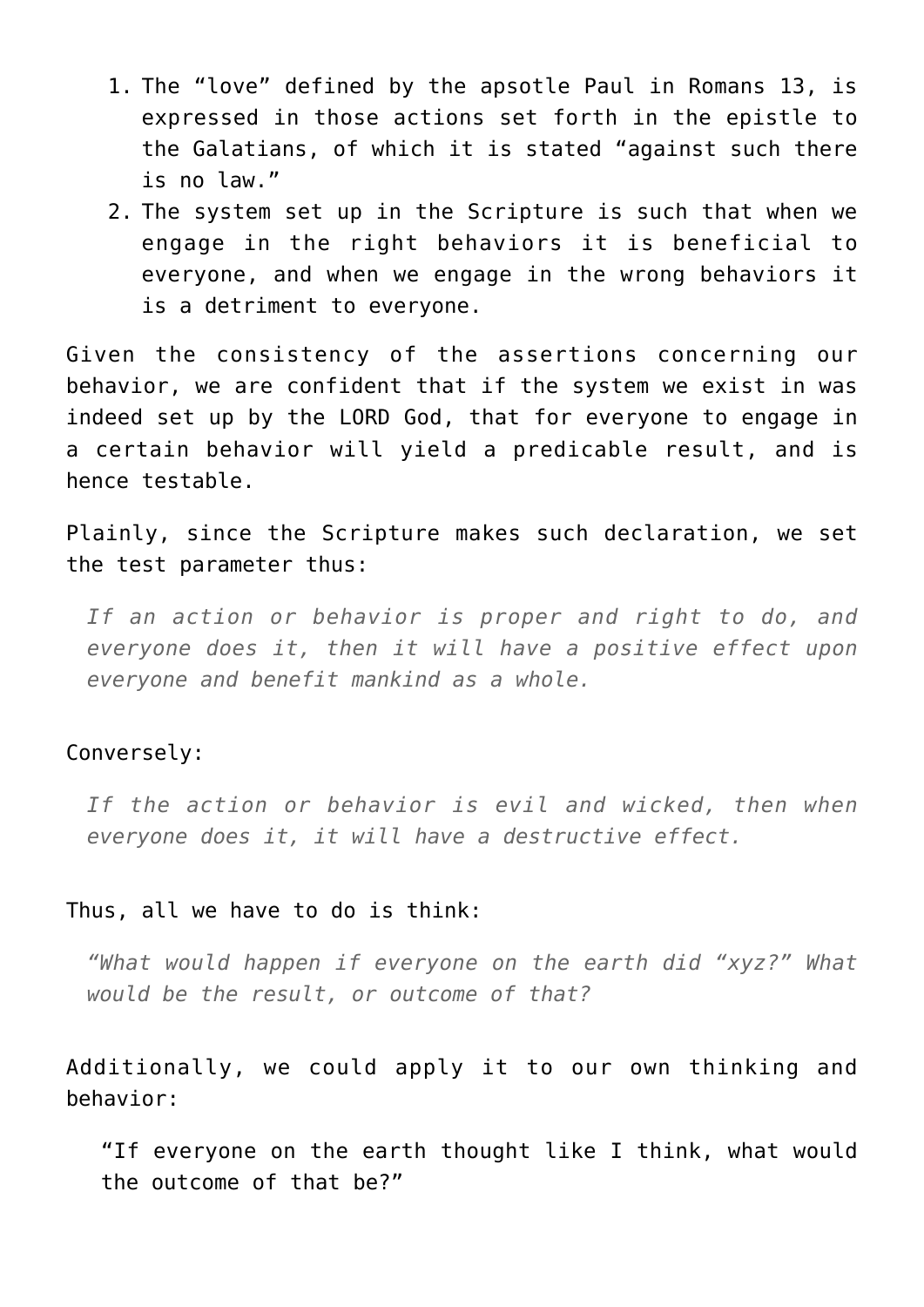- 1. The "love" defined by the apsotle Paul in Romans 13, is expressed in those actions set forth in the epistle to the Galatians, of which it is stated "against such there is no law."
- 2. The system set up in the Scripture is such that when we engage in the right behaviors it is beneficial to everyone, and when we engage in the wrong behaviors it is a detriment to everyone.

Given the consistency of the assertions concerning our behavior, we are confident that if the system we exist in was indeed set up by the LORD God, that for everyone to engage in a certain behavior will yield a predicable result, and is hence testable.

Plainly, since the Scripture makes such declaration, we set the test parameter thus:

*If an action or behavior is proper and right to do, and everyone does it, then it will have a positive effect upon everyone and benefit mankind as a whole.*

#### Conversely:

*If the action or behavior is evil and wicked, then when everyone does it, it will have a destructive effect.*

#### Thus, all we have to do is think:

*"What would happen if everyone on the earth did "xyz?" What would be the result, or outcome of that?*

Additionally, we could apply it to our own thinking and behavior:

"If everyone on the earth thought like I think, what would the outcome of that be?"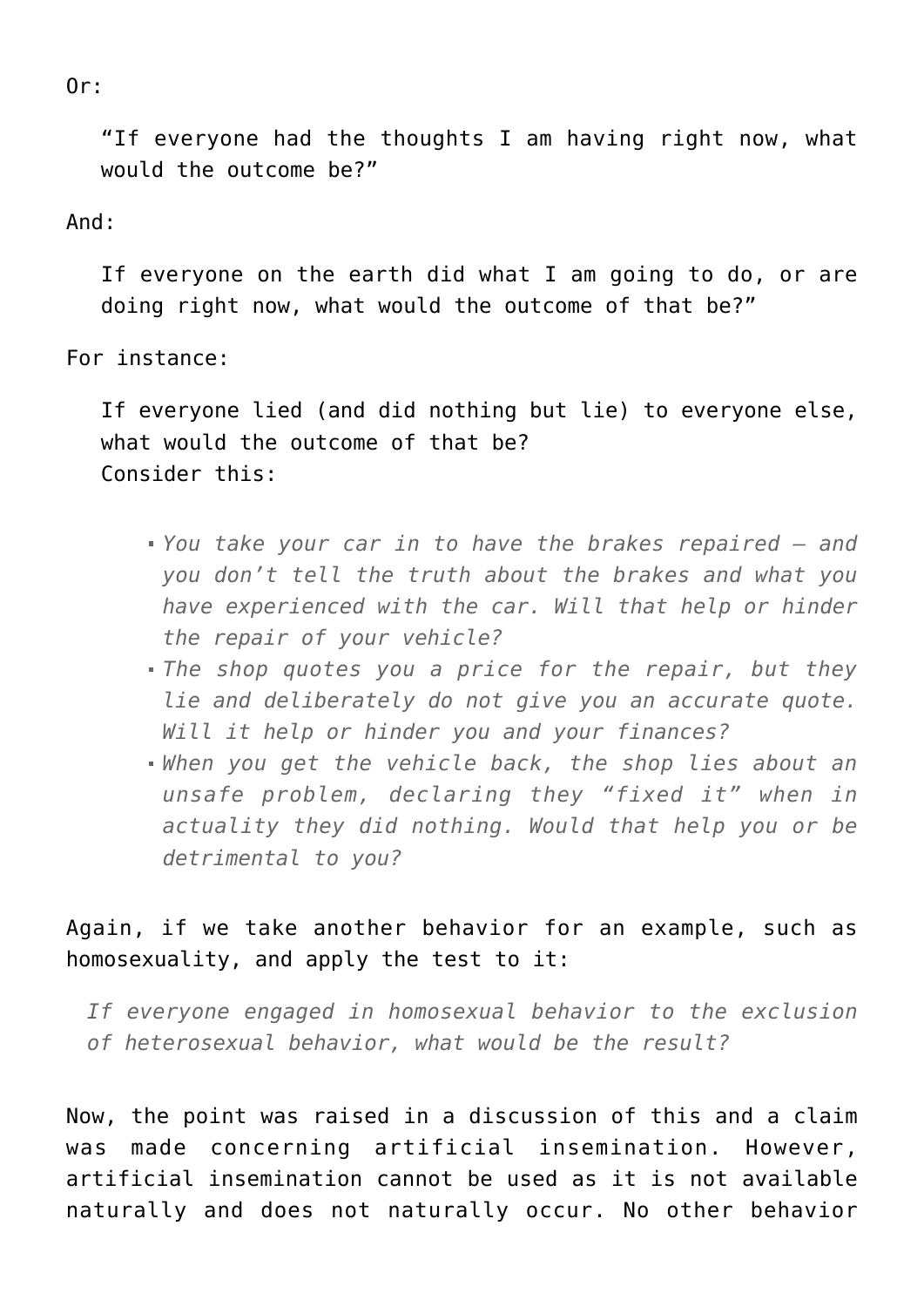Or:

"If everyone had the thoughts I am having right now, what would the outcome be?"

## And:

If everyone on the earth did what I am going to do, or are doing right now, what would the outcome of that be?"

For instance:

If everyone lied (and did nothing but lie) to everyone else, what would the outcome of that be? Consider this:

- *You take your car in to have the brakes repaired and you don't tell the truth about the brakes and what you have experienced with the car. Will that help or hinder the repair of your vehicle?*
- *The shop quotes you a price for the repair, but they lie and deliberately do not give you an accurate quote. Will it help or hinder you and your finances?*
- *When you get the vehicle back, the shop lies about an unsafe problem, declaring they "fixed it" when in actuality they did nothing. Would that help you or be detrimental to you?*

# Again, if we take another behavior for an example, such as homosexuality, and apply the test to it:

*If everyone engaged in homosexual behavior to the exclusion of heterosexual behavior, what would be the result?*

Now, the point was raised in a discussion of this and a claim was made concerning artificial insemination. However, artificial insemination cannot be used as it is not available naturally and does not naturally occur. No other behavior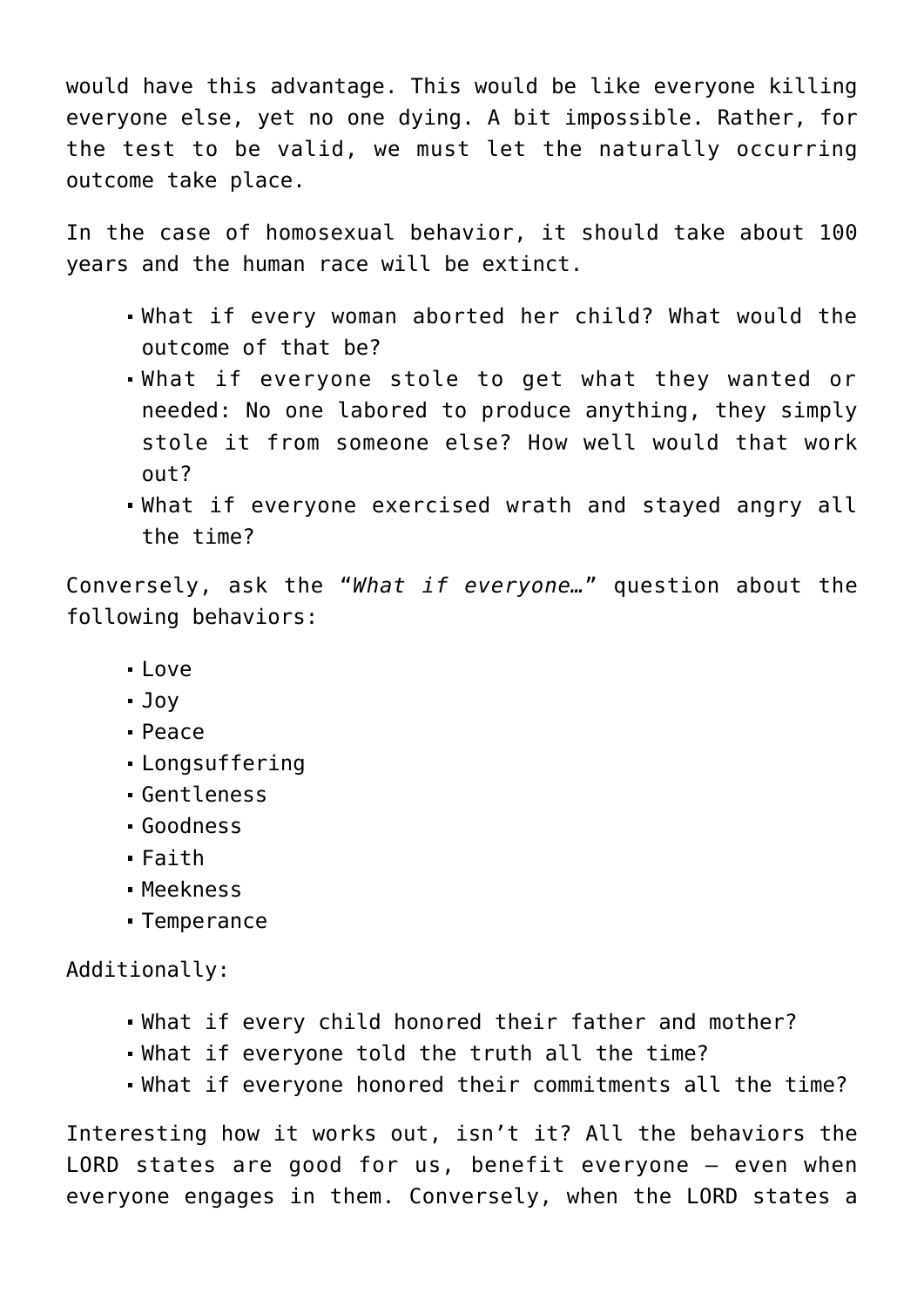would have this advantage. This would be like everyone killing everyone else, yet no one dying. A bit impossible. Rather, for the test to be valid, we must let the naturally occurring outcome take place.

In the case of homosexual behavior, it should take about 100 years and the human race will be extinct.

- What if every woman aborted her child? What would the outcome of that be?
- What if everyone stole to get what they wanted or needed: No one labored to produce anything, they simply stole it from someone else? How well would that work out?
- What if everyone exercised wrath and stayed angry all the time?

Conversely, ask the "*What if everyone…*" question about the following behaviors:

- Love
- Joy
- Peace
- Longsuffering
- Gentleness
- Goodness
- $•$  Faith
- Meekness
- Temperance

Additionally:

- What if every child honored their father and mother?
- What if everyone told the truth all the time?
- What if everyone honored their commitments all the time?

Interesting how it works out, isn't it? All the behaviors the LORD states are good for us, benefit everyone – even when everyone engages in them. Conversely, when the LORD states a